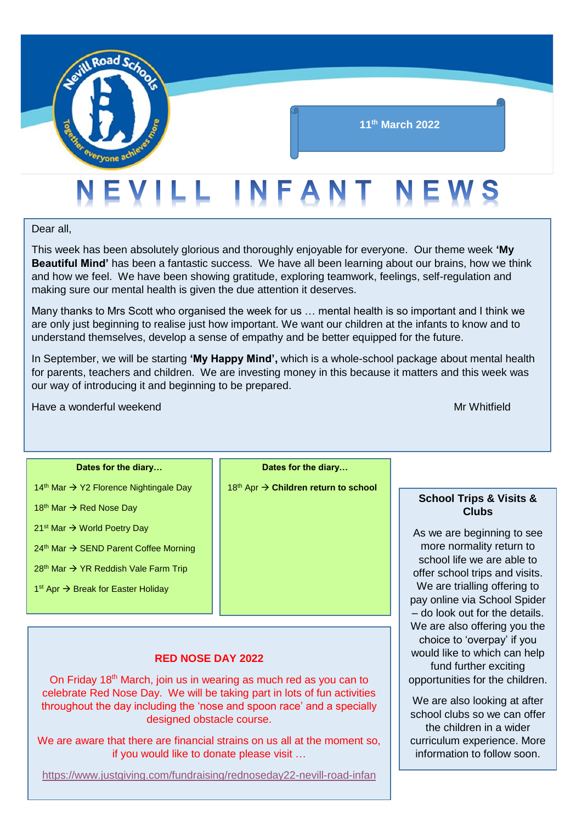

Dear all,

This week has been absolutely glorious and thoroughly enjoyable for everyone. Our theme week **'My Beautiful Mind'** has been a fantastic success. We have all been learning about our brains, how we think and how we feel. We have been showing gratitude, exploring teamwork, feelings, self-regulation and making sure our mental health is given the due attention it deserves.

Many thanks to Mrs Scott who organised the week for us … mental health is so important and I think we are only just beginning to realise just how important. We want our children at the infants to know and to understand themselves, develop a sense of empathy and be better equipped for the future.

In September, we will be starting **'My Happy Mind',** which is a whole-school package about mental health for parents, teachers and children. We are investing money in this because it matters and this week was our way of introducing it and beginning to be prepared.

Have a wonderful weekend Mr Whitfield

18<sup>th</sup> Mar  $\rightarrow$  Red Nose Dav

21<sup>st</sup> Mar → World Poetry Day

#### **Dates for the diary…**

14<sup>th</sup> Mar → Y2 Florence Nightingale Day

 $24<sup>th</sup>$  Mar  $\rightarrow$  SEND Parent Coffee Morning

 $28<sup>th</sup>$  Mar  $\rightarrow$  YR Reddish Vale Farm Trip

1<sup>st</sup> Apr → Break for Easter Holiday

**Dates for the diary…**

18th Apr **Children return to school**

#### **RED NOSE DAY 2022**

On Friday 18<sup>th</sup> March, join us in wearing as much red as you can to celebrate Red Nose Day. We will be taking part in lots of fun activities throughout the day including the 'nose and spoon race' and a specially designed obstacle course.

We are aware that there are financial strains on us all at the moment so, if you would like to donate please visit …

<https://www.justgiving.com/fundraising/rednoseday22-nevill-road-infan>

**School Trips & Visits & Clubs**

As we are beginning to see more normality return to school life we are able to offer school trips and visits. We are trialling offering to pay online via School Spider – do look out for the details. We are also offering you the choice to 'overpay' if you would like to which can help fund further exciting opportunities for the children.

We are also looking at after school clubs so we can offer the children in a wider curriculum experience. More information to follow soon.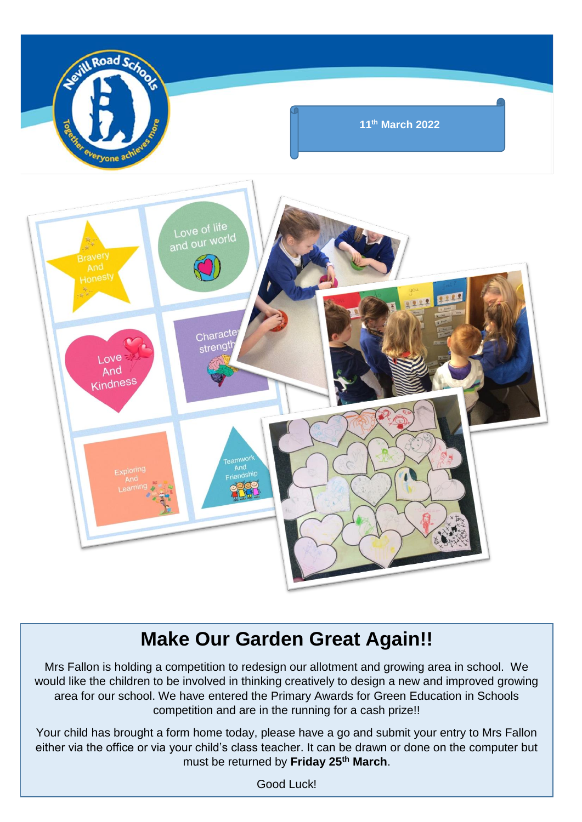

## **Make Our Garden Great Again!!**

Mrs Fallon is holding a competition to redesign our allotment and growing area in school. We would like the children to be involved in thinking creatively to design a new and improved growing area for our school. We have entered the Primary Awards for Green Education in Schools competition and are in the running for a cash prize!!

Your child has brought a form home today, please have a go and submit your entry to Mrs Fallon either via the office or via your child's class teacher. It can be drawn or done on the computer but must be returned by **Friday 25th March**.

Good Luck!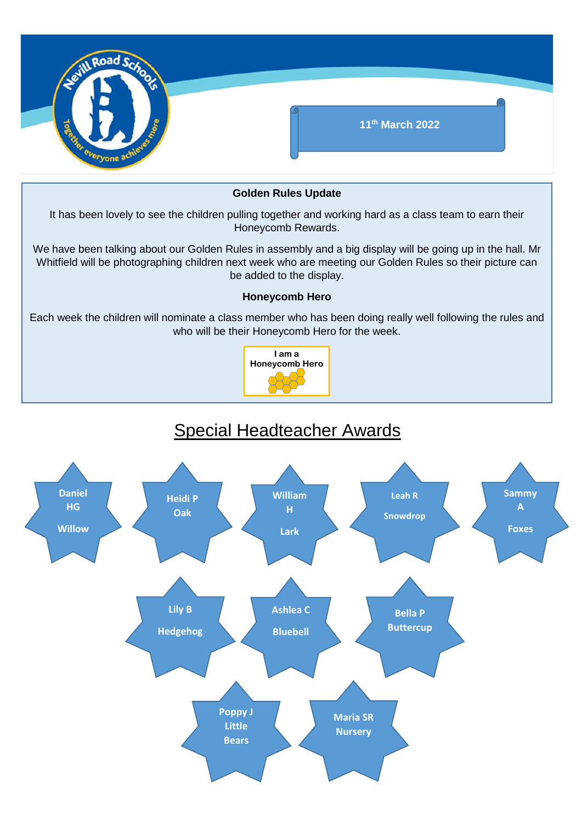

#### **Golden Rules Update**

It has been lovely to see the children pulling together and working hard as a class team to earn their Honeycomb Rewards.

We have been talking about our Golden Rules in assembly and a big display will be going up in the hall. Mr Whitfield will be photographing children next week who are meeting our Golden Rules so their picture can be added to the display.

#### **Honeycomb Hero**

Each week the children will nominate a class member who has been doing really well following the rules and who will be their Honeycomb Hero for the week.



### Special Headteacher Awards